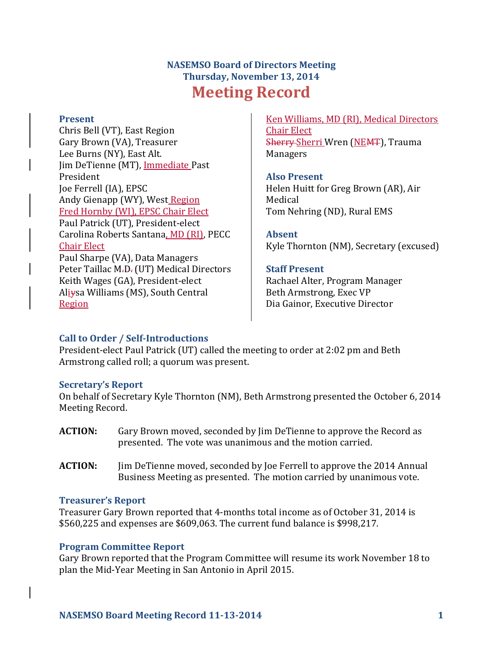# **NASEMSO Board of Directors Meeting Thursday, November 13, 2014 Meeting Record**

#### **Present**

Chris Bell (VT), East Region Gary Brown (VA), Treasurer Lee Burns (NY), East Alt. Jim DeTienne (MT), Immediate Past President Joe Ferrell (IA), EPSC Andy Gienapp (WY), West Region Fred Hornby (WI), EPSC Chair Elect Paul Patrick (UT), President-elect Carolina Roberts Santana, MD (RI), PECC Chair Elect Paul Sharpe (VA), Data Managers Peter Taillac M<sub>r</sub>D<sub>r</sub> (UT) Medical Directors Keith Wages (GA), President-elect Aliysa Williams (MS), South Central Region

Ken Williams, MD (RI), Medical Directors Chair Elect Sherry Sherri Wren (NEMT), Trauma Managers

#### **Also Present**

Helen Huitt for Greg Brown (AR), Air Medical Tom Nehring (ND), Rural EMS

**Absent** Kyle Thornton (NM), Secretary (excused)

#### **Staff Present**

Rachael Alter, Program Manager Beth Armstrong, Exec VP Dia Gainor, Executive Director

# **Call to Order / Self-Introductions**

President-elect Paul Patrick (UT) called the meeting to order at 2:02 pm and Beth Armstrong called roll; a quorum was present.

#### **Secretary's Report**

On behalf of Secretary Kyle Thornton (NM), Beth Armstrong presented the October 6, 2014 Meeting Record.

- **ACTION:** Gary Brown moved, seconded by Jim DeTienne to approve the Record as presented. The vote was unanimous and the motion carried.
- **ACTION:** Jim DeTienne moved, seconded by Joe Ferrell to approve the 2014 Annual Business Meeting as presented. The motion carried by unanimous vote.

#### **Treasurer's Report**

Treasurer Gary Brown reported that 4-months total income as of October 31, 2014 is \$560,225 and expenses are \$609,063. The current fund balance is \$998,217.

# **Program Committee Report**

Gary Brown reported that the Program Committee will resume its work November 18 to plan the Mid-Year Meeting in San Antonio in April 2015.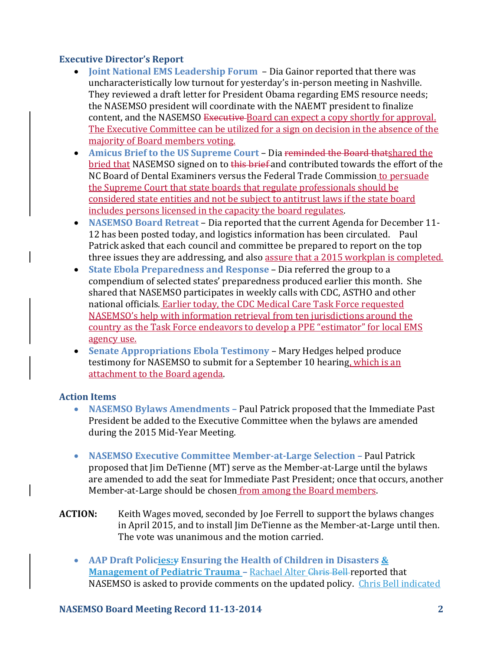## **Executive Director's Report**

- **Joint National EMS Leadership Forum** Dia Gainor reported that there was uncharacteristically low turnout for yesterday's in-person meeting in Nashville. They reviewed a draft letter for President Obama regarding EMS resource needs; the NASEMSO president will coordinate with the NAEMT president to finalize content, and the NASEMSO Executive Board can expect a copy shortly for approval. The Executive Committee can be utilized for a sign on decision in the absence of the majority of Board members voting.
- **Amicus Brief to the US Supreme Court** Dia reminded the Board thatshared the bried that NASEMSO signed on to this brief and contributed towards the effort of the NC Board of Dental Examiners versus the Federal Trade Commission to persuade the Supreme Court that state boards that regulate professionals should be considered state entities and not be subject to antitrust laws if the state board includes persons licensed in the capacity the board regulates.
- **NASEMSO Board Retreat** Dia reported that the current Agenda for December 11- 12 has been posted today, and logistics information has been circulated. Paul Patrick asked that each council and committee be prepared to report on the top three issues they are addressing, and also assure that a 2015 workplan is completed.
- **State Ebola Preparedness and Response** Dia referred the group to a compendium of selected states' preparedness produced earlier this month. She shared that NASEMSO participates in weekly calls with CDC, ASTHO and other national officials. Earlier today, the CDC Medical Care Task Force requested NASEMSO's help with information retrieval from ten jurisdictions around the country as the Task Force endeavors to develop a PPE "estimator" for local EMS agency use.
- **Senate Appropriations Ebola Testimony** Mary Hedges helped produce testimony for NASEMSO to submit for a September 10 hearing, which is an attachment to the Board agenda.

#### **Action Items**

- **NASEMSO Bylaws Amendments –** Paul Patrick proposed that the Immediate Past President be added to the Executive Committee when the bylaws are amended during the 2015 Mid-Year Meeting.
- **NASEMSO Executive Committee Member-at-Large Selection Paul Patrick** proposed that Jim DeTienne (MT) serve as the Member-at-Large until the bylaws are amended to add the seat for Immediate Past President; once that occurs, another Member-at-Large should be chosen from among the Board members.
- **ACTION:** Keith Wages moved, seconded by Joe Ferrell to support the bylaws changes in April 2015, and to install Jim DeTienne as the Member-at-Large until then. The vote was unanimous and the motion carried.
	- **AAP Draft Policies:y Ensuring the Health of Children in Disasters & Management of Pediatric Trauma –** Rachael Alter Chris Bell reported that NASEMSO is asked to provide comments on the updated policy. Chris Bell indicated

#### **NASEMSO Board Meeting Record 11-13-2014 2**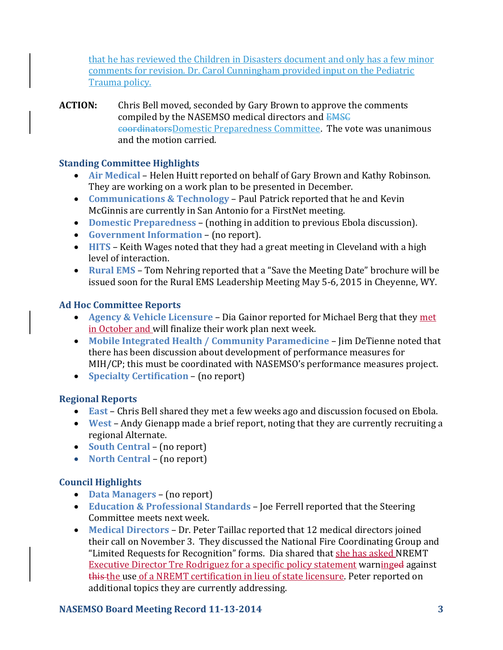that he has reviewed the Children in Disasters document and only has a few minor comments for revision. Dr. Carol Cunningham provided input on the Pediatric Trauma policy.

**ACTION:** Chris Bell moved, seconded by Gary Brown to approve the comments compiled by the NASEMSO medical directors and EMSC coordinatorsDomestic Preparedness Committee. The vote was unanimous and the motion carried.

## **Standing Committee Highlights**

- **Air Medical** Helen Huitt reported on behalf of Gary Brown and Kathy Robinson. They are working on a work plan to be presented in December.
- **Communications & Technology** Paul Patrick reported that he and Kevin McGinnis are currently in San Antonio for a FirstNet meeting.
- **Domestic Preparedness** (nothing in addition to previous Ebola discussion).
- **Government Information**  (no report).
- **HITS**  Keith Wages noted that they had a great meeting in Cleveland with a high level of interaction.
- **Rural EMS**  Tom Nehring reported that a "Save the Meeting Date" brochure will be issued soon for the Rural EMS Leadership Meeting May 5-6, 2015 in Cheyenne, WY.

# **Ad Hoc Committee Reports**

- **Agency & Vehicle Licensure**  Dia Gainor reported for Michael Berg that they met in October and will finalize their work plan next week.
- **Mobile Integrated Health / Community Paramedicine**  Jim DeTienne noted that there has been discussion about development of performance measures for MIH/CP; this must be coordinated with NASEMSO's performance measures project.
- **Specialty Certification**  (no report)

# **Regional Reports**

- **East** Chris Bell shared they met a few weeks ago and discussion focused on Ebola.
- **West**  Andy Gienapp made a brief report, noting that they are currently recruiting a regional Alternate.
- **South Central (no report)**
- North Central (no report)

# **Council Highlights**

- **Data Managers** (no report)
- **Education & Professional Standards** Joe Ferrell reported that the Steering Committee meets next week.
- **Medical Directors** Dr. Peter Taillac reported that 12 medical directors joined their call on November 3. They discussed the National Fire Coordinating Group and "Limited Requests for Recognition" forms. Dia shared that she has asked NREMT Executive Director Tre Rodriguez for a specific policy statement warninged against this the use of a NREMT certification in lieu of state licensure. Peter reported on additional topics they are currently addressing.

# **NASEMSO Board Meeting Record 11-13-2014 3**